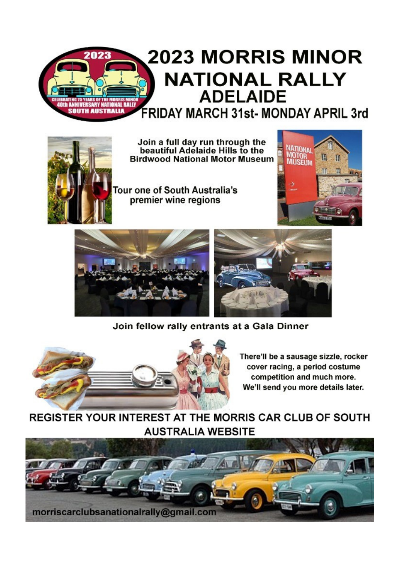# **2023 MORRIS MINOR** 2023 **NATIONAL RALLY ADELAIDE** th ANNIVERSARY NATIONAL RALL<br>SOUTH AUSTRALIA **FRIDAY MARCH 31st- MONDAY APRIL 3rd**



Join a full day run through the<br>beautiful Adelaide Hills to the **Birdwood National Motor Museum** 

Tour one of South Australia's premier wine regions





Join fellow rally entrants at a Gala Dinner



There'll be a sausage sizzle, rocker cover racing, a period costume competition and much more. We'll send you more details later.

REGISTER YOUR INTEREST AT THE MORRIS CAR CLUB OF SOUTH **AUSTRALIA WEBSITE**